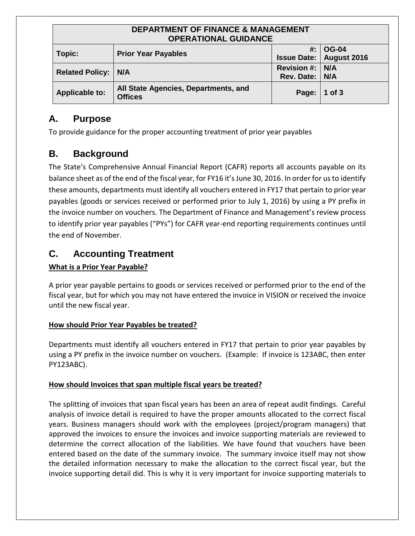| <b>DEPARTMENT OF FINANCE &amp; MANAGEMENT</b><br><b>OPERATIONAL GUIDANCE</b> |                                                        |                                   |                                              |  |  |
|------------------------------------------------------------------------------|--------------------------------------------------------|-----------------------------------|----------------------------------------------|--|--|
| Topic:                                                                       | <b>Prior Year Payables</b>                             |                                   | #:   OG-04<br><b>Issue Date: August 2016</b> |  |  |
| <b>Related Policy:   N/A</b>                                                 |                                                        | Revision #: N/A<br>Rev. Date: N/A |                                              |  |  |
| <b>Applicable to:</b>                                                        | All State Agencies, Departments, and<br><b>Offices</b> | Page:   1 of 3                    |                                              |  |  |

# **A. Purpose**

To provide guidance for the proper accounting treatment of prior year payables

# **B. Background**

The State's Comprehensive Annual Financial Report (CAFR) reports all accounts payable on its balance sheet as of the end of the fiscal year, for FY16 it's June 30, 2016. In order for us to identify these amounts, departments must identify all vouchers entered in FY17 that pertain to prior year payables (goods or services received or performed prior to July 1, 2016) by using a PY prefix in the invoice number on vouchers. The Department of Finance and Management's review process to identify prior year payables ("PYs") for CAFR year-end reporting requirements continues until the end of November.

# **C. Accounting Treatment**

# **What is a Prior Year Payable?**

A prior year payable pertains to goods or services received or performed prior to the end of the fiscal year, but for which you may not have entered the invoice in VISION or received the invoice until the new fiscal year.

## **How should Prior Year Payables be treated?**

Departments must identify all vouchers entered in FY17 that pertain to prior year payables by using a PY prefix in the invoice number on vouchers. (Example: If invoice is 123ABC, then enter PY123ABC).

## **How should Invoices that span multiple fiscal years be treated?**

The splitting of invoices that span fiscal years has been an area of repeat audit findings. Careful analysis of invoice detail is required to have the proper amounts allocated to the correct fiscal years. Business managers should work with the employees (project/program managers) that approved the invoices to ensure the invoices and invoice supporting materials are reviewed to determine the correct allocation of the liabilities. We have found that vouchers have been entered based on the date of the summary invoice. The summary invoice itself may not show the detailed information necessary to make the allocation to the correct fiscal year, but the invoice supporting detail did. This is why it is very important for invoice supporting materials to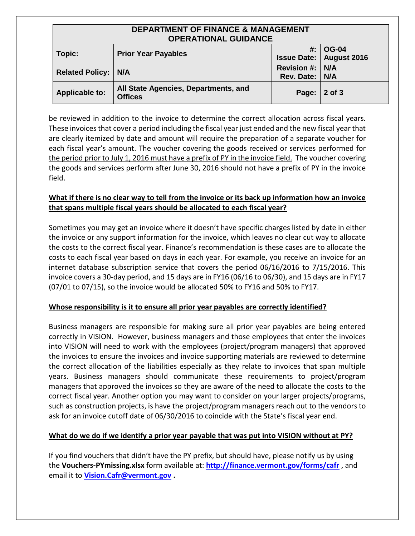| <b>DEPARTMENT OF FINANCE &amp; MANAGEMENT</b><br><b>OPERATIONAL GUIDANCE</b> |                                                        |                                   |                                                  |  |  |
|------------------------------------------------------------------------------|--------------------------------------------------------|-----------------------------------|--------------------------------------------------|--|--|
| Topic:                                                                       | <b>Prior Year Payables</b>                             | #.                                | $\mid$ OG-04<br><b>Issue Date:   August 2016</b> |  |  |
| <b>Related Policy:   N/A</b>                                                 |                                                        | Revision #: N/A<br>Rev. Date: N/A |                                                  |  |  |
| <b>Applicable to:</b>                                                        | All State Agencies, Departments, and<br><b>Offices</b> | Page:                             | $2$ of 3                                         |  |  |

be reviewed in addition to the invoice to determine the correct allocation across fiscal years. These invoices that cover a period including the fiscal year just ended and the new fiscal year that are clearly itemized by date and amount will require the preparation of a separate voucher for each fiscal year's amount. The voucher covering the goods received or services performed for the period prior to July 1, 2016 must have a prefix of PY in the invoice field. The voucher covering the goods and services perform after June 30, 2016 should not have a prefix of PY in the invoice field.

#### **What if there is no clear way to tell from the invoice or its back up information how an invoice that spans multiple fiscal years should be allocated to each fiscal year?**

Sometimes you may get an invoice where it doesn't have specific charges listed by date in either the invoice or any support information for the invoice, which leaves no clear cut way to allocate the costs to the correct fiscal year. Finance's recommendation is these cases are to allocate the costs to each fiscal year based on days in each year. For example, you receive an invoice for an internet database subscription service that covers the period 06/16/2016 to 7/15/2016. This invoice covers a 30-day period, and 15 days are in FY16 (06/16 to 06/30), and 15 days are in FY17 (07/01 to 07/15), so the invoice would be allocated 50% to FY16 and 50% to FY17.

#### **Whose responsibility is it to ensure all prior year payables are correctly identified?**

Business managers are responsible for making sure all prior year payables are being entered correctly in VISION. However, business managers and those employees that enter the invoices into VISION will need to work with the employees (project/program managers) that approved the invoices to ensure the invoices and invoice supporting materials are reviewed to determine the correct allocation of the liabilities especially as they relate to invoices that span multiple years. Business managers should communicate these requirements to project/program managers that approved the invoices so they are aware of the need to allocate the costs to the correct fiscal year. Another option you may want to consider on your larger projects/programs, such as construction projects, is have the project/program managers reach out to the vendors to ask for an invoice cutoff date of 06/30/2016 to coincide with the State's fiscal year end.

#### **What do we do if we identify a prior year payable that was put into VISION without at PY?**

If you find vouchers that didn't have the PY prefix, but should have, please notify us by using the **Vouchers-PYmissing.xlsx** form available at: **[http://finance.vermont.gov/forms/cafr](http://finance.vermont.gov/forms/cafr/)** , and email it to **[Vision.Cafr@vermont.gov](mailto:Vision.Cafr@vermont.gov) .**